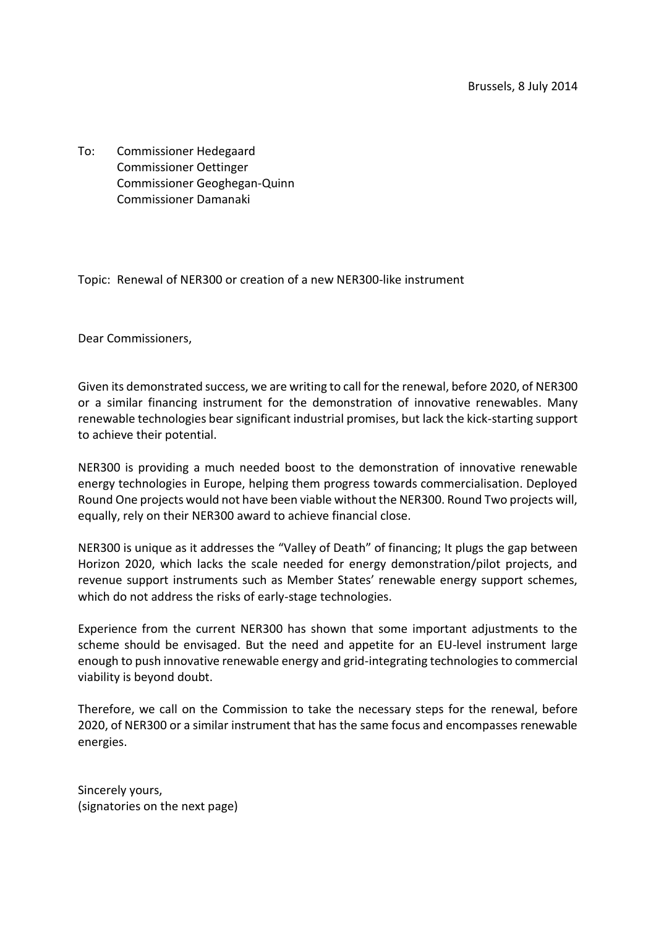To: Commissioner Hedegaard Commissioner Oettinger Commissioner Geoghegan-Quinn Commissioner Damanaki

Topic: Renewal of NER300 or creation of a new NER300-like instrument

Dear Commissioners,

Given its demonstrated success, we are writing to call for the renewal, before 2020, of NER300 or a similar financing instrument for the demonstration of innovative renewables. Many renewable technologies bear significant industrial promises, but lack the kick-starting support to achieve their potential.

NER300 is providing a much needed boost to the demonstration of innovative renewable energy technologies in Europe, helping them progress towards commercialisation. Deployed Round One projects would not have been viable without the NER300. Round Two projects will, equally, rely on their NER300 award to achieve financial close.

NER300 is unique as it addresses the "Valley of Death" of financing; It plugs the gap between Horizon 2020, which lacks the scale needed for energy demonstration/pilot projects, and revenue support instruments such as Member States' renewable energy support schemes, which do not address the risks of early-stage technologies.

Experience from the current NER300 has shown that some important adjustments to the scheme should be envisaged. But the need and appetite for an EU-level instrument large enough to push innovative renewable energy and grid-integrating technologies to commercial viability is beyond doubt.

Therefore, we call on the Commission to take the necessary steps for the renewal, before 2020, of NER300 or a similar instrument that has the same focus and encompasses renewable energies.

Sincerely yours, (signatories on the next page)